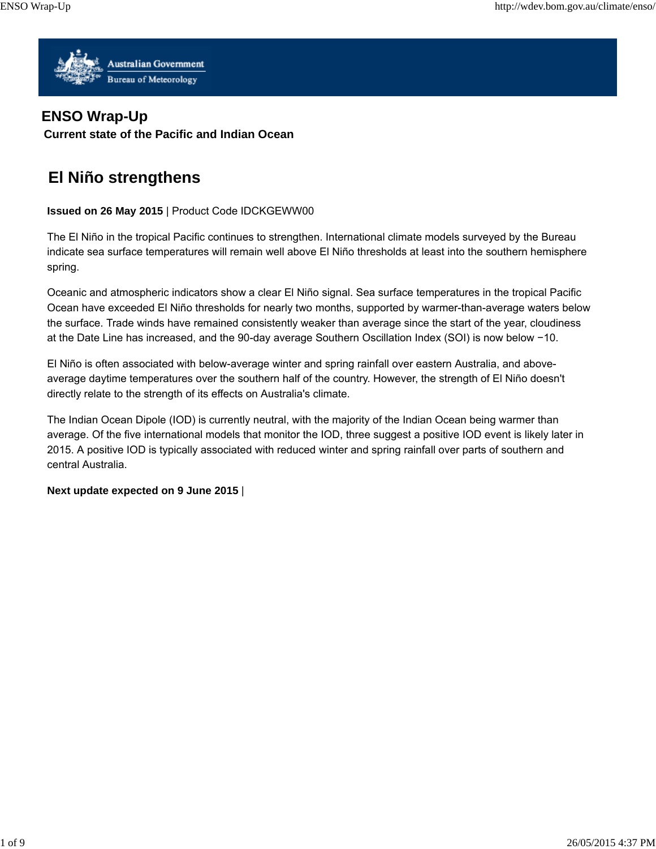

# **ENSO Wrap-Up**

**Current state of the Pacific and Indian Ocean**

# **El Niño strengthens**

# **Issued on 26 May 2015** | Product Code IDCKGEWW00

The El Niño in the tropical Pacific continues to strengthen. International climate models surveyed by the Bureau indicate sea surface temperatures will remain well above El Niño thresholds at least into the southern hemisphere spring.

Oceanic and atmospheric indicators show a clear El Niño signal. Sea surface temperatures in the tropical Pacific Ocean have exceeded El Niño thresholds for nearly two months, supported by warmer-than-average waters below the surface. Trade winds have remained consistently weaker than average since the start of the year, cloudiness at the Date Line has increased, and the 90-day average Southern Oscillation Index (SOI) is now below −10.

El Niño is often associated with below-average winter and spring rainfall over eastern Australia, and aboveaverage daytime temperatures over the southern half of the country. However, the strength of El Niño doesn't directly relate to the strength of its effects on Australia's climate.

The Indian Ocean Dipole (IOD) is currently neutral, with the majority of the Indian Ocean being warmer than average. Of the five international models that monitor the IOD, three suggest a positive IOD event is likely later in 2015. A positive IOD is typically associated with reduced winter and spring rainfall over parts of southern and central Australia.

#### **Next update expected on 9 June 2015** |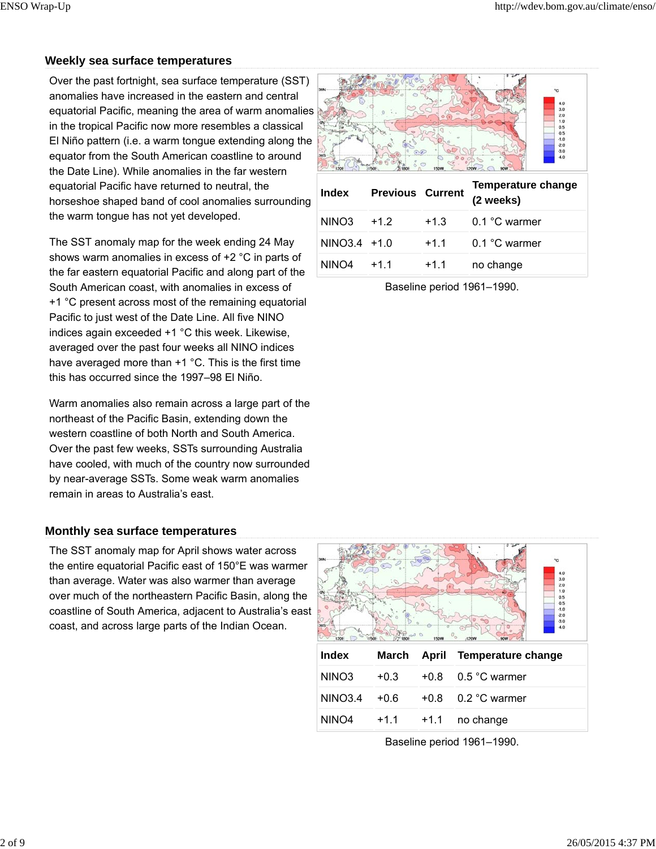# **Weekly sea surface temperatures**

Over the past fortnight, sea surface temperature (SST) anomalies have increased in the eastern and central equatorial Pacific, meaning the area of warm anomalies in the tropical Pacific now more resembles a classical El Niño pattern (i.e. a warm tongue extending along the equator from the South American coastline to around the Date Line). While anomalies in the far western equatorial Pacific have returned to neutral, the horseshoe shaped band of cool anomalies surrounding the warm tongue has not yet developed.

The SST anomaly map for the week ending 24 May shows warm anomalies in excess of +2 °C in parts of the far eastern equatorial Pacific and along part of the South American coast, with anomalies in excess of +1 °C present across most of the remaining equatorial Pacific to just west of the Date Line. All five NINO indices again exceeded +1 °C this week. Likewise, averaged over the past four weeks all NINO indices have averaged more than +1 °C. This is the first time this has occurred since the 1997–98 El Niño.

Warm anomalies also remain across a large part of the northeast of the Pacific Basin, extending down the western coastline of both North and South America. Over the past few weeks, SSTs surrounding Australia have cooled, with much of the country now surrounded by near-average SSTs. Some weak warm anomalies remain in areas to Australia's east.

#### **Monthly sea surface temperatures**

The SST anomaly map for April shows water across the entire equatorial Pacific east of 150°E was warmer than average. Water was also warmer than average over much of the northeastern Pacific Basin, along the coastline of South America, adjacent to Australia's east coast, and across large parts of the Indian Ocean.



Baseline period 1961–1990.



Baseline period 1961–1990.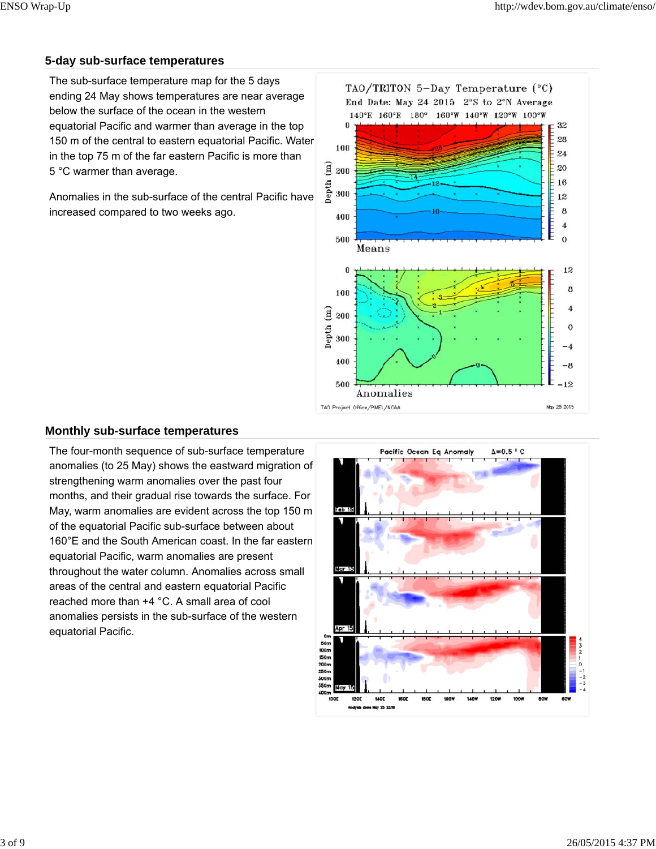# **5-day sub-surface temperatures**

The sub-surface temperature map for the 5 days ending 24 May shows temperatures are near average below the surface of the ocean in the western equatorial Pacific and warmer than average in the top 150 m of the central to eastern equatorial Pacific. Water in the top 75 m of the far eastern Pacific is more than 5 °C warmer than average.

Anomalies in the sub-surface of the central Pacific have increased compared to two weeks ago.



#### **Monthly sub-surface temperatures**

The four-month sequence of sub-surface temperature anomalies (to 25 May) shows the eastward migration of strengthening warm anomalies over the past four months, and their gradual rise towards the surface. For May, warm anomalies are evident across the top 150 m of the equatorial Pacific sub-surface between about 160°E and the South American coast. In the far eastern equatorial Pacific, warm anomalies are present throughout the water column. Anomalies across small areas of the central and eastern equatorial Pacific reached more than +4 °C. A small area of cool anomalies persists in the sub-surface of the western equatorial Pacific.

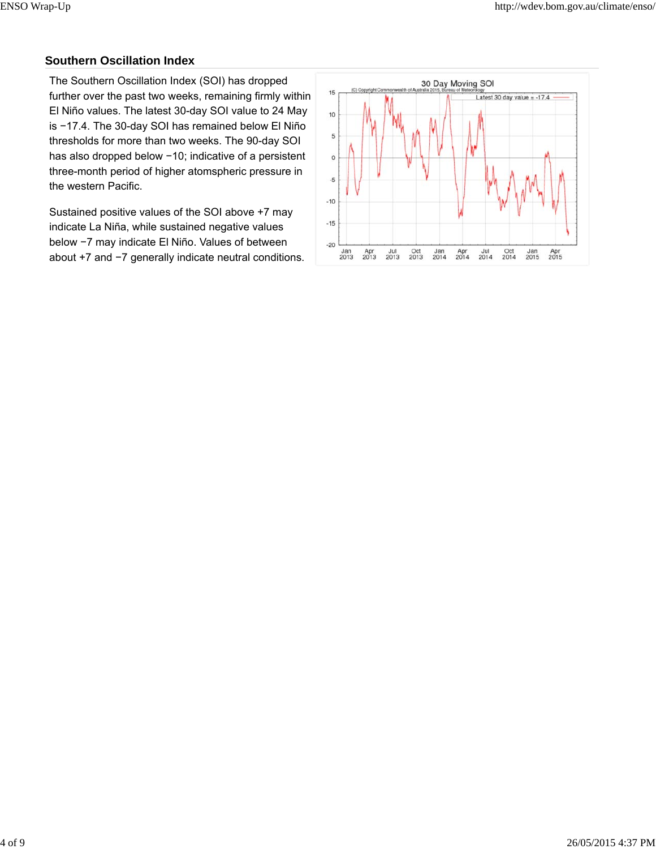# **Southern Oscillation Index**

The Southern Oscillation Index (SOI) has dropped further over the past two weeks, remaining firmly within El Niño values. The latest 30-day SOI value to 24 May is −17.4. The 30-day SOI has remained below El Niño thresholds for more than two weeks. The 90-day SOI has also dropped below −10; indicative of a persistent three-month period of higher atomspheric pressure in the western Pacific.

Sustained positive values of the SOI above +7 may indicate La Niña, while sustained negative values below −7 may indicate El Niño. Values of between about +7 and −7 generally indicate neutral conditions.

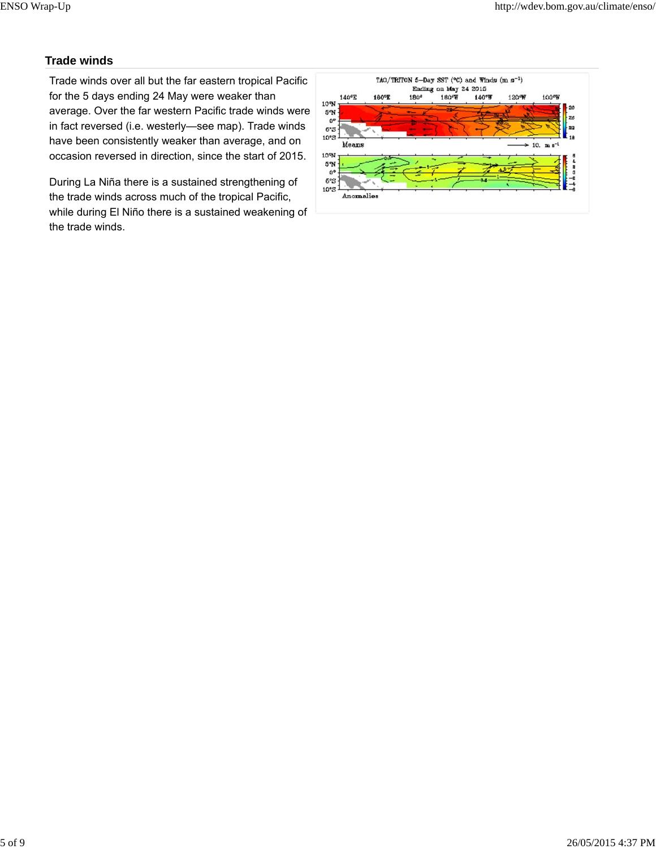# **Trade winds**

Trade winds over all but the far eastern tropical Pacific for the 5 days ending 24 May were weaker than average. Over the far western Pacific trade winds were in fact reversed (i.e. westerly—see map). Trade winds have been consistently weaker than average, and on occasion reversed in direction, since the start of 2015.

During La Niña there is a sustained strengthening of the trade winds across much of the tropical Pacific, while during El Niño there is a sustained weakening of the trade winds.

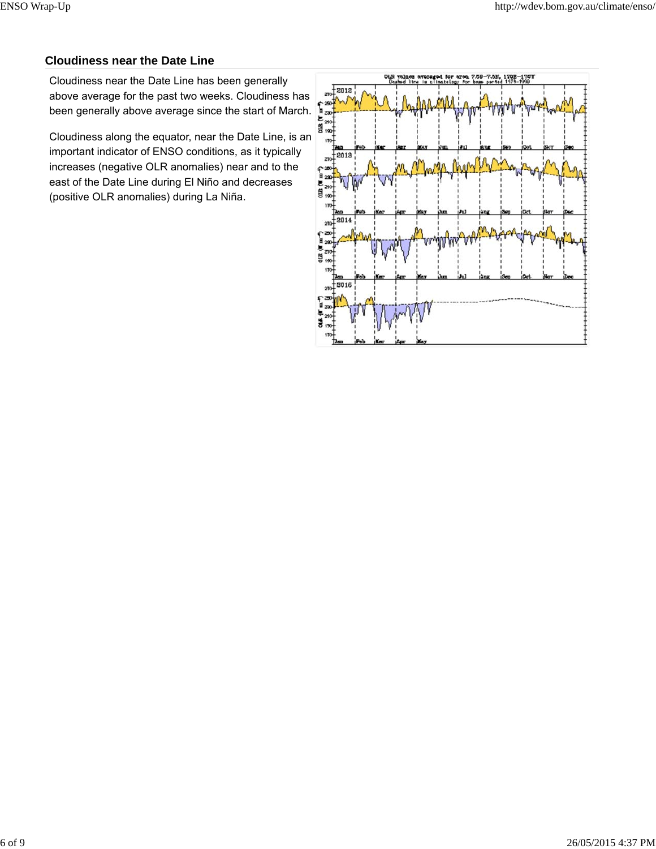# **Cloudiness near the Date Line**

Cloudiness near the Date Line has been generally above average for the past two weeks. Cloudiness has been generally above average since the start of March.

Cloudiness along the equator, near the Date Line, is an important indicator of ENSO conditions, as it typically increases (negative OLR anomalies) near and to the east of the Date Line during El Niño and decreases (positive OLR anomalies) during La Niña.

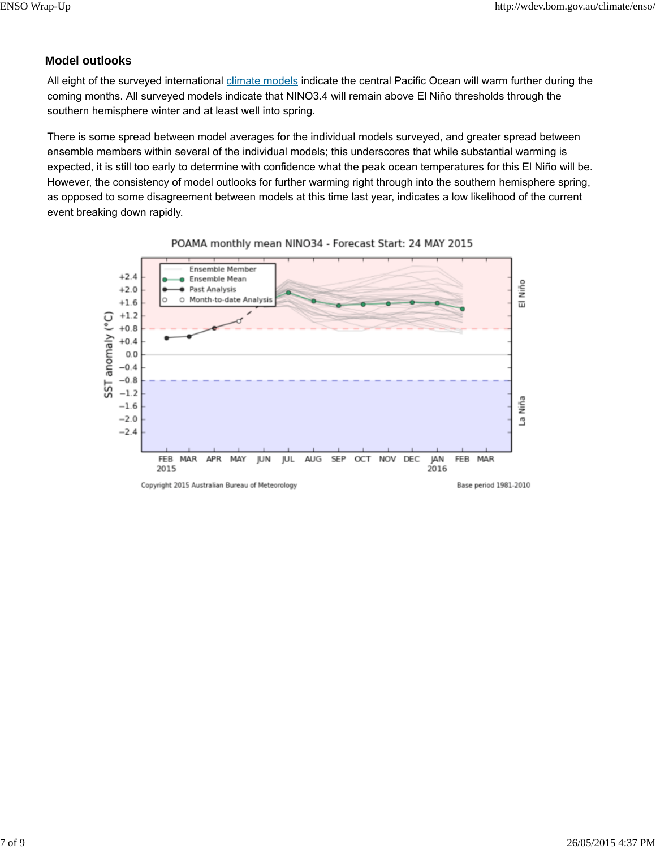# **Model outlooks**

All eight of the surveyed international climate models indicate the central Pacific Ocean will warm further during the coming months. All surveyed models indicate that NINO3.4 will remain above El Niño thresholds through the southern hemisphere winter and at least well into spring.

There is some spread between model averages for the individual models surveyed, and greater spread between ensemble members within several of the individual models; this underscores that while substantial warming is expected, it is still too early to determine with confidence what the peak ocean temperatures for this El Niño will be. However, the consistency of model outlooks for further warming right through into the southern hemisphere spring, as opposed to some disagreement between models at this time last year, indicates a low likelihood of the current event breaking down rapidly.



POAMA monthly mean NINO34 - Forecast Start: 24 MAY 2015

Copyright 2015 Australian Bureau of Meteorology

Base period 1981-2010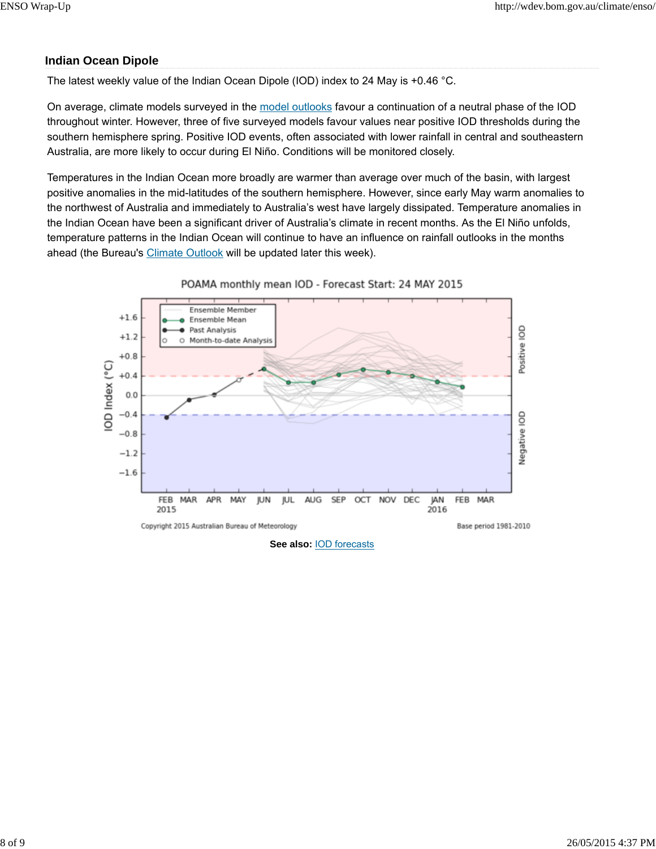# **Indian Ocean Dipole**

The latest weekly value of the Indian Ocean Dipole (IOD) index to 24 May is +0.46 °C.

On average, climate models surveyed in the model outlooks favour a continuation of a neutral phase of the IOD throughout winter. However, three of five surveyed models favour values near positive IOD thresholds during the southern hemisphere spring. Positive IOD events, often associated with lower rainfall in central and southeastern Australia, are more likely to occur during El Niño. Conditions will be monitored closely.

Temperatures in the Indian Ocean more broadly are warmer than average over much of the basin, with largest positive anomalies in the mid-latitudes of the southern hemisphere. However, since early May warm anomalies to the northwest of Australia and immediately to Australia's west have largely dissipated. Temperature anomalies in the Indian Ocean have been a significant driver of Australia's climate in recent months. As the El Niño unfolds, temperature patterns in the Indian Ocean will continue to have an influence on rainfall outlooks in the months ahead (the Bureau's Climate Outlook will be updated later this week).



POAMA monthly mean IOD - Forecast Start: 24 MAY 2015

**See also:** IOD forecasts